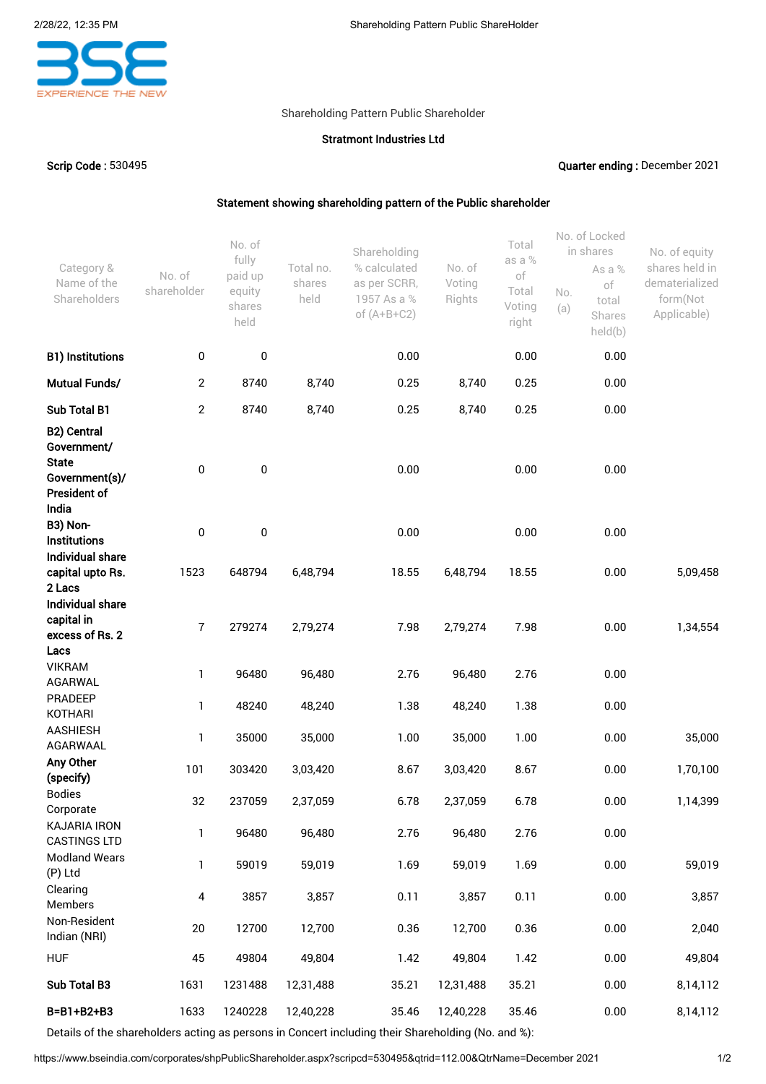

## Shareholding Pattern Public Shareholder

## Stratmont Industries Ltd

Scrip Code : 530495 Quarter ending : December 2021

## Statement showing shareholding pattern of the Public shareholder

| Category &<br>Name of the<br>Shareholders           | No. of<br>shareholder | No. of<br>fully<br>paid up<br>equity<br>shares<br>held | Total no.<br>shares<br>held | Shareholding<br>% calculated<br>as per SCRR,<br>1957 As a %<br>of $(A+B+C2)$ | No. of<br>Voting<br>Rights | Total<br>as a %<br>of<br>Total<br>Voting<br>right | No. of Locked<br>in shares<br>As a %<br>of<br>No.<br>total<br>(a)<br>Shares<br>held(b) | No. of equity<br>shares held in<br>dematerialized<br>form(Not<br>Applicable) |
|-----------------------------------------------------|-----------------------|--------------------------------------------------------|-----------------------------|------------------------------------------------------------------------------|----------------------------|---------------------------------------------------|----------------------------------------------------------------------------------------|------------------------------------------------------------------------------|
| <b>B1) Institutions</b>                             | 0                     | 0                                                      |                             | 0.00                                                                         |                            | 0.00                                              | 0.00                                                                                   |                                                                              |
| Mutual Funds/                                       | $\mathbf{2}$          | 8740                                                   | 8,740                       | 0.25                                                                         | 8,740                      | 0.25                                              | 0.00                                                                                   |                                                                              |
| Sub Total B1                                        | $\overline{2}$        | 8740                                                   | 8,740                       | 0.25                                                                         | 8,740                      | 0.25                                              | 0.00                                                                                   |                                                                              |
| B2) Central<br>Government/<br><b>State</b>          |                       |                                                        |                             |                                                                              |                            |                                                   |                                                                                        |                                                                              |
| Government(s)/<br><b>President of</b><br>India      | 0                     | 0                                                      |                             | 0.00                                                                         |                            | 0.00                                              | 0.00                                                                                   |                                                                              |
| B3) Non-<br><b>Institutions</b><br>Individual share | $\pmb{0}$             | 0                                                      |                             | 0.00                                                                         |                            | 0.00                                              | 0.00                                                                                   |                                                                              |
| capital upto Rs.<br>2 Lacs<br>Individual share      | 1523                  | 648794                                                 | 6,48,794                    | 18.55                                                                        | 6,48,794                   | 18.55                                             | 0.00                                                                                   | 5,09,458                                                                     |
| capital in<br>excess of Rs. 2<br>Lacs               | $\overline{7}$        | 279274                                                 | 2,79,274                    | 7.98                                                                         | 2,79,274                   | 7.98                                              | 0.00                                                                                   | 1,34,554                                                                     |
| <b>VIKRAM</b><br>AGARWAL                            | 1                     | 96480                                                  | 96,480                      | 2.76                                                                         | 96,480                     | 2.76                                              | 0.00                                                                                   |                                                                              |
| PRADEEP<br><b>KOTHARI</b>                           | $\mathbf{1}$          | 48240                                                  | 48,240                      | 1.38                                                                         | 48,240                     | 1.38                                              | 0.00                                                                                   |                                                                              |
| <b>AASHIESH</b><br>AGARWAAL                         | 1                     | 35000                                                  | 35,000                      | 1.00                                                                         | 35,000                     | 1.00                                              | 0.00                                                                                   | 35,000                                                                       |
| Any Other<br>(specify)                              | 101                   | 303420                                                 | 3,03,420                    | 8.67                                                                         | 3,03,420                   | 8.67                                              | 0.00                                                                                   | 1,70,100                                                                     |
| <b>Bodies</b><br>Corporate                          | 32                    | 237059                                                 | 2,37,059                    | 6.78                                                                         | 2,37,059                   | 6.78                                              | 0.00                                                                                   | 1,14,399                                                                     |
| <b>KAJARIA IRON</b><br><b>CASTINGS LTD</b>          | $\mathbf{1}$          | 96480                                                  | 96,480                      | 2.76                                                                         | 96,480                     | 2.76                                              | 0.00                                                                                   |                                                                              |
| <b>Modland Wears</b><br>(P) Ltd                     | 1                     | 59019                                                  | 59,019                      | 1.69                                                                         | 59,019                     | 1.69                                              | 0.00                                                                                   | 59,019                                                                       |
| Clearing<br>Members                                 | 4                     | 3857                                                   | 3,857                       | 0.11                                                                         | 3,857                      | 0.11                                              | 0.00                                                                                   | 3,857                                                                        |
| Non-Resident<br>Indian (NRI)                        | $20\,$                | 12700                                                  | 12,700                      | 0.36                                                                         | 12,700                     | 0.36                                              | 0.00                                                                                   | 2,040                                                                        |
| <b>HUF</b>                                          | 45                    | 49804                                                  | 49,804                      | 1.42                                                                         | 49,804                     | 1.42                                              | 0.00                                                                                   | 49,804                                                                       |
| Sub Total B3                                        | 1631                  | 1231488                                                | 12,31,488                   | 35.21                                                                        | 12,31,488                  | 35.21                                             | 0.00                                                                                   | 8,14,112                                                                     |
| B=B1+B2+B3                                          | 1633                  | 1240228                                                | 12,40,228                   | 35.46                                                                        | 12,40,228                  | 35.46                                             | 0.00                                                                                   | 8,14,112                                                                     |

Details of the shareholders acting as persons in Concert including their Shareholding (No. and %):